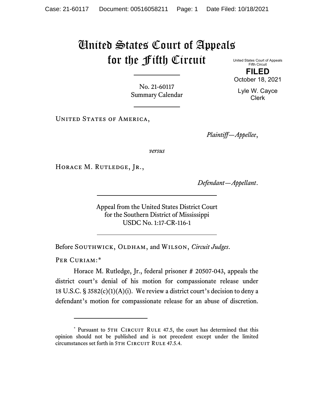## United States Court of Appeals for the Fifth Circuit

United States Court of Appeals Fifth Circuit **FILED**

No. 21-60117 Summary Calendar

UNITED STATES OF AMERICA,

*Plaintiff—Appellee*,

*versus*

HORACE M. RUTLEDGE, JR.,

*Defendant—Appellant*.

Appeal from the United States District Court for the Southern District of Mississippi USDC No. 1:17-CR-116-1

Before SOUTHWICK, OLDHAM, and WILSON, *Circuit Judges*.

PER CURIAM:[\\*](#page-0-0)

Horace M. Rutledge, Jr., federal prisoner # 20507-043, appeals the district court's denial of his motion for compassionate release under 18 U.S.C.  $\S 3582(c)(1)(A)(i)$ . We review a district court's decision to deny a defendant's motion for compassionate release for an abuse of discretion.

October 18, 2021 Lyle W. Cayce

Clerk

<span id="page-0-0"></span><sup>\*</sup> Pursuant to 5TH CIRCUIT RULE 47.5, the court has determined that this opinion should not be published and is not precedent except under the limited circumstances set forth in 5TH CIRCUIT RULE 47.5.4.